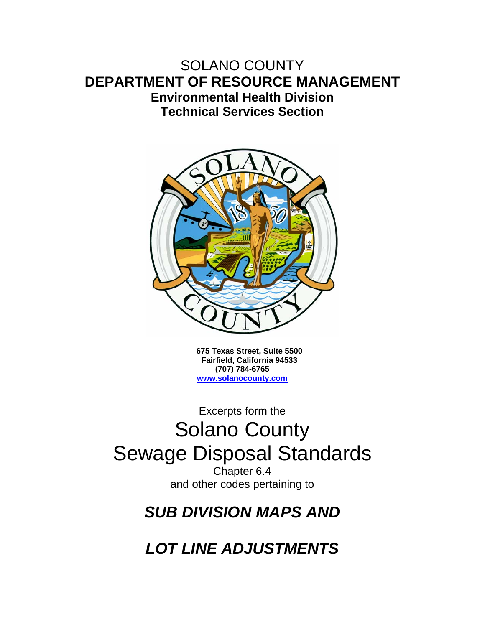### SOLANO COUNTY **DEPARTMENT OF RESOURCE MANAGEMENT Environmental Health Division Technical Services Section**



**675 Texas Street, Suite 5500 Fairfield, California 94533 (707) 784-6765 www.solanocounty.com**

# Excerpts form the Solano County Sewage Disposal Standards

Chapter 6.4 and other codes pertaining to

## *SUB DIVISION MAPS AND*

*LOT LINE ADJUSTMENTS*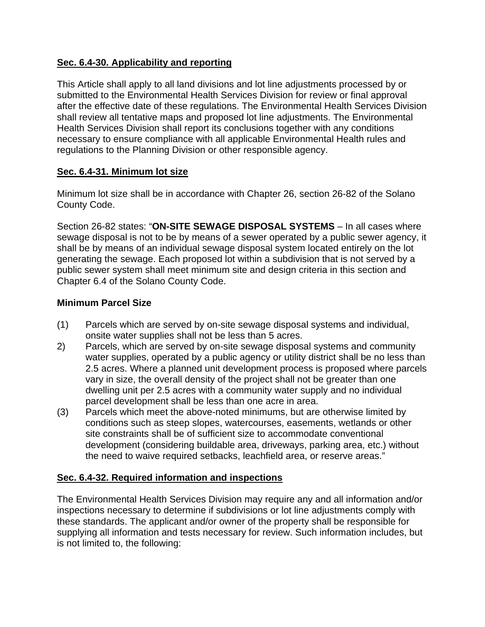#### **Sec. 6.4-30. Applicability and reporting**

This Article shall apply to all land divisions and lot line adjustments processed by or submitted to the Environmental Health Services Division for review or final approval after the effective date of these regulations. The Environmental Health Services Division shall review all tentative maps and proposed lot line adjustments. The Environmental Health Services Division shall report its conclusions together with any conditions necessary to ensure compliance with all applicable Environmental Health rules and regulations to the Planning Division or other responsible agency.

#### **Sec. 6.4-31. Minimum lot size**

Minimum lot size shall be in accordance with Chapter 26, section 26-82 of the Solano County Code.

Section 26-82 states: "**ON-SITE SEWAGE DISPOSAL SYSTEMS** – In all cases where sewage disposal is not to be by means of a sewer operated by a public sewer agency, it shall be by means of an individual sewage disposal system located entirely on the lot generating the sewage. Each proposed lot within a subdivision that is not served by a public sewer system shall meet minimum site and design criteria in this section and Chapter 6.4 of the Solano County Code.

#### **Minimum Parcel Size**

- (1) Parcels which are served by on-site sewage disposal systems and individual, onsite water supplies shall not be less than 5 acres.
- 2) Parcels, which are served by on-site sewage disposal systems and community water supplies, operated by a public agency or utility district shall be no less than 2.5 acres. Where a planned unit development process is proposed where parcels vary in size, the overall density of the project shall not be greater than one dwelling unit per 2.5 acres with a community water supply and no individual parcel development shall be less than one acre in area.
- (3) Parcels which meet the above-noted minimums, but are otherwise limited by conditions such as steep slopes, watercourses, easements, wetlands or other site constraints shall be of sufficient size to accommodate conventional development (considering buildable area, driveways, parking area, etc.) without the need to waive required setbacks, leachfield area, or reserve areas."

#### **Sec. 6.4-32. Required information and inspections**

The Environmental Health Services Division may require any and all information and/or inspections necessary to determine if subdivisions or lot line adjustments comply with these standards. The applicant and/or owner of the property shall be responsible for supplying all information and tests necessary for review. Such information includes, but is not limited to, the following: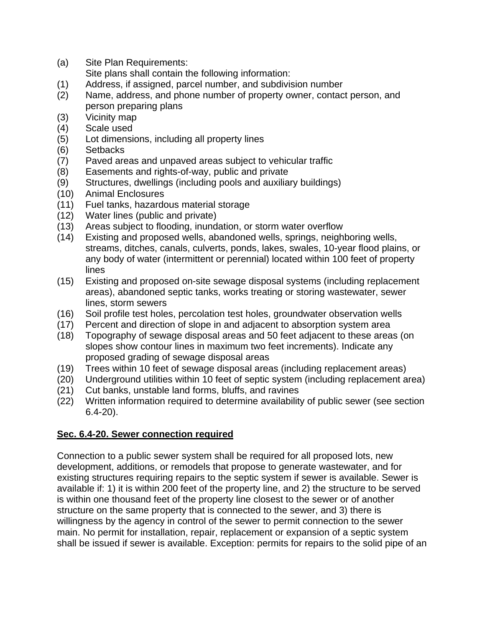- (a) Site Plan Requirements:
- Site plans shall contain the following information:
- (1) Address, if assigned, parcel number, and subdivision number
- (2) Name, address, and phone number of property owner, contact person, and person preparing plans
- (3) Vicinity map
- (4) Scale used
- (5) Lot dimensions, including all property lines
- (6) Setbacks
- (7) Paved areas and unpaved areas subject to vehicular traffic
- (8) Easements and rights-of-way, public and private
- (9) Structures, dwellings (including pools and auxiliary buildings)
- (10) Animal Enclosures
- (11) Fuel tanks, hazardous material storage
- (12) Water lines (public and private)
- (13) Areas subject to flooding, inundation, or storm water overflow
- (14) Existing and proposed wells, abandoned wells, springs, neighboring wells, streams, ditches, canals, culverts, ponds, lakes, swales, 10-year flood plains, or any body of water (intermittent or perennial) located within 100 feet of property lines
- (15) Existing and proposed on-site sewage disposal systems (including replacement areas), abandoned septic tanks, works treating or storing wastewater, sewer lines, storm sewers
- (16) Soil profile test holes, percolation test holes, groundwater observation wells
- (17) Percent and direction of slope in and adjacent to absorption system area
- (18) Topography of sewage disposal areas and 50 feet adjacent to these areas (on slopes show contour lines in maximum two feet increments). Indicate any proposed grading of sewage disposal areas
- (19) Trees within 10 feet of sewage disposal areas (including replacement areas)
- (20) Underground utilities within 10 feet of septic system (including replacement area)
- (21) Cut banks, unstable land forms, bluffs, and ravines
- (22) Written information required to determine availability of public sewer (see section 6.4-20).

#### **Sec. 6.4-20. Sewer connection required**

Connection to a public sewer system shall be required for all proposed lots, new development, additions, or remodels that propose to generate wastewater, and for existing structures requiring repairs to the septic system if sewer is available. Sewer is available if: 1) it is within 200 feet of the property line, and 2) the structure to be served is within one thousand feet of the property line closest to the sewer or of another structure on the same property that is connected to the sewer, and 3) there is willingness by the agency in control of the sewer to permit connection to the sewer main. No permit for installation, repair, replacement or expansion of a septic system shall be issued if sewer is available. Exception: permits for repairs to the solid pipe of an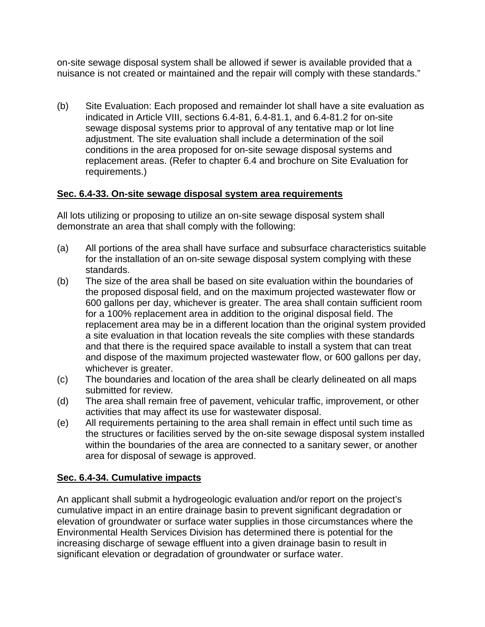on-site sewage disposal system shall be allowed if sewer is available provided that a nuisance is not created or maintained and the repair will comply with these standards."

(b) Site Evaluation: Each proposed and remainder lot shall have a site evaluation as indicated in Article VIII, sections 6.4-81, 6.4-81.1, and 6.4-81.2 for on-site sewage disposal systems prior to approval of any tentative map or lot line adjustment. The site evaluation shall include a determination of the soil conditions in the area proposed for on-site sewage disposal systems and replacement areas. (Refer to chapter 6.4 and brochure on Site Evaluation for requirements.)

#### **Sec. 6.4-33. On-site sewage disposal system area requirements**

All lots utilizing or proposing to utilize an on-site sewage disposal system shall demonstrate an area that shall comply with the following:

- (a) All portions of the area shall have surface and subsurface characteristics suitable for the installation of an on-site sewage disposal system complying with these standards.
- (b) The size of the area shall be based on site evaluation within the boundaries of the proposed disposal field, and on the maximum projected wastewater flow or 600 gallons per day, whichever is greater. The area shall contain sufficient room for a 100% replacement area in addition to the original disposal field. The replacement area may be in a different location than the original system provided a site evaluation in that location reveals the site complies with these standards and that there is the required space available to install a system that can treat and dispose of the maximum projected wastewater flow, or 600 gallons per day, whichever is greater.
- (c) The boundaries and location of the area shall be clearly delineated on all maps submitted for review.
- (d) The area shall remain free of pavement, vehicular traffic, improvement, or other activities that may affect its use for wastewater disposal.
- (e) All requirements pertaining to the area shall remain in effect until such time as the structures or facilities served by the on-site sewage disposal system installed within the boundaries of the area are connected to a sanitary sewer, or another area for disposal of sewage is approved.

#### **Sec. 6.4-34. Cumulative impacts**

An applicant shall submit a hydrogeologic evaluation and/or report on the project's cumulative impact in an entire drainage basin to prevent significant degradation or elevation of groundwater or surface water supplies in those circumstances where the Environmental Health Services Division has determined there is potential for the increasing discharge of sewage effluent into a given drainage basin to result in significant elevation or degradation of groundwater or surface water.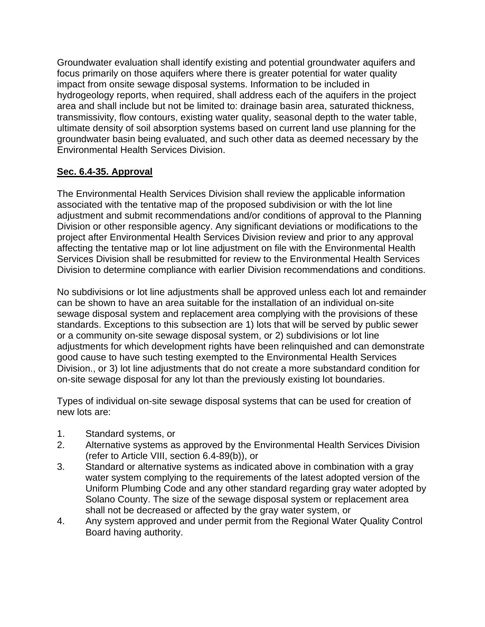Groundwater evaluation shall identify existing and potential groundwater aquifers and focus primarily on those aquifers where there is greater potential for water quality impact from onsite sewage disposal systems. Information to be included in hydrogeology reports, when required, shall address each of the aquifers in the project area and shall include but not be limited to: drainage basin area, saturated thickness, transmissivity, flow contours, existing water quality, seasonal depth to the water table, ultimate density of soil absorption systems based on current land use planning for the groundwater basin being evaluated, and such other data as deemed necessary by the Environmental Health Services Division.

#### **Sec. 6.4-35. Approval**

The Environmental Health Services Division shall review the applicable information associated with the tentative map of the proposed subdivision or with the lot line adjustment and submit recommendations and/or conditions of approval to the Planning Division or other responsible agency. Any significant deviations or modifications to the project after Environmental Health Services Division review and prior to any approval affecting the tentative map or lot line adjustment on file with the Environmental Health Services Division shall be resubmitted for review to the Environmental Health Services Division to determine compliance with earlier Division recommendations and conditions.

No subdivisions or lot line adjustments shall be approved unless each lot and remainder can be shown to have an area suitable for the installation of an individual on-site sewage disposal system and replacement area complying with the provisions of these standards. Exceptions to this subsection are 1) lots that will be served by public sewer or a community on-site sewage disposal system, or 2) subdivisions or lot line adjustments for which development rights have been relinquished and can demonstrate good cause to have such testing exempted to the Environmental Health Services Division., or 3) lot line adjustments that do not create a more substandard condition for on-site sewage disposal for any lot than the previously existing lot boundaries.

Types of individual on-site sewage disposal systems that can be used for creation of new lots are:

- 1. Standard systems, or
- 2. Alternative systems as approved by the Environmental Health Services Division (refer to Article VIII, section 6.4-89(b)), or
- 3. Standard or alternative systems as indicated above in combination with a gray water system complying to the requirements of the latest adopted version of the Uniform Plumbing Code and any other standard regarding gray water adopted by Solano County. The size of the sewage disposal system or replacement area shall not be decreased or affected by the gray water system, or
- 4. Any system approved and under permit from the Regional Water Quality Control Board having authority.